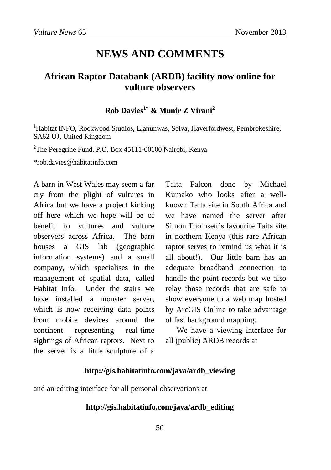# **NEWS AND COMMENTS**

### **African Raptor Databank (ARDB) facility now online for vulture observers**

## **Rob Davies1\* & Munir Z Virani<sup>2</sup>**

<sup>1</sup>Habitat INFO, Rookwood Studios, Llanunwas, Solva, Haverfordwest, Pembrokeshire, SA62 UJ, United Kingdom

2 The Peregrine Fund, P.O. Box 45111-00100 Nairobi, Kenya

\*rob.davies@habitatinfo.com

A barn in West Wales may seem a far cry from the plight of vultures in Africa but we have a project kicking off here which we hope will be of benefit to vultures and vulture observers across Africa. The barn houses a GIS lab (geographic information systems) and a small company, which specialises in the management of spatial data, called Habitat Info. Under the stairs we have installed a monster server, which is now receiving data points from mobile devices around the continent representing real-time sightings of African raptors. Next to the server is a little sculpture of a

Taita Falcon done by Michael Kumako who looks after a wellknown Taita site in South Africa and we have named the server after Simon Thomsett's favourite Taita site in northern Kenya (this rare African raptor serves to remind us what it is all about!). Our little barn has an adequate broadband connection to handle the point records but we also relay those records that are safe to show everyone to a web map hosted by ArcGIS Online to take advantage of fast background mapping.

We have a viewing interface for all (public) ARDB records at

#### **[http://gis.habitatinfo.com/java/ardb\\_viewing](http://gis.habitatinfo.com/java/viewing)**

and an editing interface for all personal observations at

#### **[http://gis.habitatinfo.com/java/ardb\\_editing](http://gis.habitatinfo.com/java/ardb_editing)**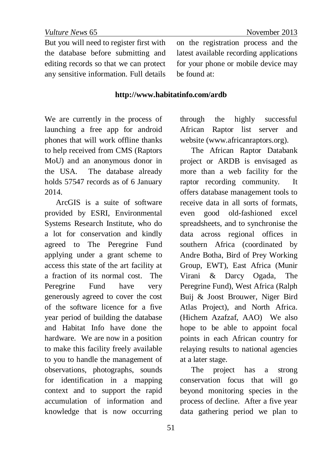But you will need to register first with the database before submitting and editing records so that we can protect any sensitive information. Full details

on the registration process and the latest available recording applications for your phone or mobile device may be found at:

#### **http://www.habitatinfo.com/ardb**

We are currently in the process of launching a free app for android phones that will work offline thanks to help received from CMS (Raptors MoU) and an anonymous donor in the USA. The database already holds 57547 records as of 6 January 2014.

ArcGIS is a suite of software provided by ESRI, Environmental Systems Research Institute, who do a lot for conservation and kindly agreed to The Peregrine Fund applying under a grant scheme to access this state of the art facility at a fraction of its normal cost. The Peregrine Fund have very generously agreed to cover the cost of the software licence for a five year period of building the database and Habitat Info have done the hardware. We are now in a position to make this facility freely available to you to handle the management of observations, photographs, sounds for identification in a mapping context and to support the rapid accumulation of information and knowledge that is now occurring through the highly successful African Raptor list server and website (www.africanraptors.org).

The African Raptor Databank project or ARDB is envisaged as more than a web facility for the raptor recording community. It offers database management tools to receive data in all sorts of formats, even good old-fashioned excel spreadsheets, and to synchronise the data across regional offices in southern Africa (coordinated by Andre Botha, Bird of Prey Working Group, EWT), East Africa (Munir Virani & Darcy Ogada, The Peregrine Fund), West Africa (Ralph Buij & Joost Brouwer, Niger Bird Atlas Project), and North Africa. (Hichem Azafzaf, AAO) We also hope to be able to appoint focal points in each African country for relaying results to national agencies at a later stage.

The project has a strong conservation focus that will go beyond monitoring species in the process of decline. After a five year data gathering period we plan to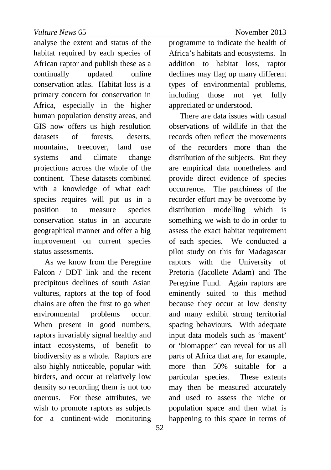analyse the extent and status of the habitat required by each species of African raptor and publish these as a continually updated online conservation atlas. Habitat loss is a primary concern for conservation in Africa, especially in the higher human population density areas, and GIS now offers us high resolution datasets of forests, deserts, mountains, treecover, land use systems and climate change projections across the whole of the continent. These datasets combined with a knowledge of what each species requires will put us in a position to measure species conservation status in an accurate geographical manner and offer a big improvement on current species status assessments.

As we know from the Peregrine Falcon / DDT link and the recent precipitous declines of south Asian vultures, raptors at the top of food chains are often the first to go when environmental problems occur. When present in good numbers, raptors invariably signal healthy and intact ecosystems, of benefit to biodiversity as a whole. Raptors are also highly noticeable, popular with birders, and occur at relatively low density so recording them is not too onerous. For these attributes, we wish to promote raptors as subjects for a continent-wide monitoring programme to indicate the health of Africa's habitats and ecosystems. In addition to habitat loss, raptor declines may flag up many different types of environmental problems, including those not yet fully appreciated or understood.

There are data issues with casual observations of wildlife in that the records often reflect the movements of the recorders more than the distribution of the subjects. But they are empirical data nonetheless and provide direct evidence of species occurrence. The patchiness of the recorder effort may be overcome by distribution modelling which is something we wish to do in order to assess the exact habitat requirement of each species. We conducted a pilot study on this for Madagascar raptors with the University of Pretoria (Jacollete Adam) and The Peregrine Fund. Again raptors are eminently suited to this method because they occur at low density and many exhibit strong territorial spacing behaviours. With adequate input data models such as 'maxent' or 'biomapper' can reveal for us all parts of Africa that are, for example, more than 50% suitable for a particular species. These extents may then be measured accurately and used to assess the niche or population space and then what is happening to this space in terms of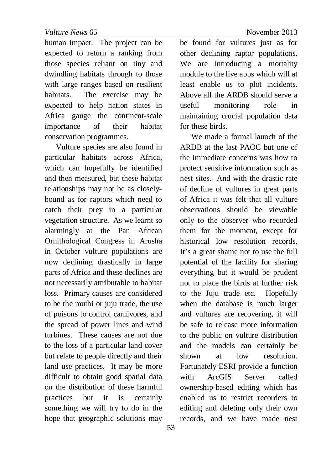human impact. The project can be expected to return a ranking from those species reliant on tiny and dwindling habitats through to those with large ranges based on resilient habitats. The exercise may be

expected to help nation states in Africa gauge the continent-scale importance of their habitat conservation programmes.

Vulture species are also found in particular habitats across Africa, which can hopefully be identified and then measured, but these habitat relationships may not be as closelybound as for raptors which need to catch their prey in a particular vegetation structure. As we learnt so alarmingly at the Pan African Ornithological Congress in Arusha in October vulture populations are now declining drastically in large parts of Africa and these declines are not necessarily attributable to habitat loss. Primary causes are considered to be the muthi or juju trade, the use of poisons to control carnivores, and the spread of power lines and wind turbines. These causes are not due to the loss of a particular land cover but relate to people directly and their land use practices. It may be more difficult to obtain good spatial data on the distribution of these harmful practices but it is certainly something we will try to do in the hope that geographic solutions may be found for vultures just as for other declining raptor populations. We are introducing a mortality module to the live apps which will at least enable us to plot incidents. Above all the ARDB should serve a useful monitoring role in maintaining crucial population data for these birds.

We made a formal launch of the ARDB at the last PAOC but one of the immediate concerns was how to protect sensitive information such as nest sites. And with the drastic rate of decline of vultures in great parts of Africa it was felt that all vulture observations should be viewable only to the observer who recorded them for the moment, except for historical low resolution records It's a great shame not to use the full potential of the facility for sharing everything but it would be prudent not to place the birds at further risk to the Juju trade etc. Hopefully when the database is much larger and vultures are recovering, it will be safe to release more information to the public on vulture distribution and the models can certainly be shown at low resolution. Fortunately ESRI provide a function with ArcGIS Server called ownership-based editing which has enabled us to restrict recorders to editing and deleting only their own records, and we have made nest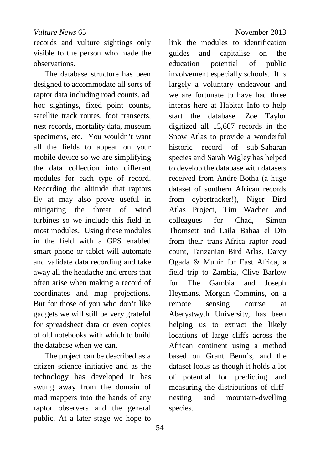records and vulture sightings only visible to the person who made the observations.

The database structure has been designed to accommodate all sorts of raptor data including road counts, ad hoc sightings, fixed point counts, satellite track routes, foot transects, nest records, mortality data, museum specimens, etc. You wouldn't want all the fields to appear on your mobile device so we are simplifying the data collection into different modules for each type of record. Recording the altitude that raptors fly at may also prove useful in mitigating the threat of wind turbines so we include this field in most modules. Using these modules in the field with a GPS enabled smart phone or tablet will automate and validate data recording and take away all the headache and errors that often arise when making a record of coordinates and map projections. But for those of you who don't like gadgets we will still be very grateful for spreadsheet data or even copies of old notebooks with which to build the database when we can.

The project can be described as a citizen science initiative and as the technology has developed it has swung away from the domain of mad mappers into the hands of any raptor observers and the general public. At a later stage we hope to

link the modules to identification guides and capitalise on the education potential of public involvement especially schools. It is largely a voluntary endeavour and we are fortunate to have had three interns here at Habitat Info to help start the database. Zoe Taylor digitized all 15,607 records in the Snow Atlas to provide a wonderful historic record of sub-Saharan species and Sarah Wigley has helped to develop the database with datasets received from Andre Botha (a huge dataset of southern African records from cybertracker!), Niger Bird Atlas Project, Tim Wacher and colleagues for Chad, Simon Thomsett and Laila Bahaa el Din from their trans-Africa raptor road count, Tanzanian Bird Atlas, Darcy Ogada & Munir for East Africa, a field trip to Zambia, Clive Barlow for The Gambia and Joseph Heymans. Morgan Commins, on a remote sensing course at Aberystwyth University, has been helping us to extract the likely locations of large cliffs across the African continent using a method based on Grant Benn's, and the dataset looks as though it holds a lot of potential for predicting and measuring the distributions of cliffnesting and mountain-dwelling species.